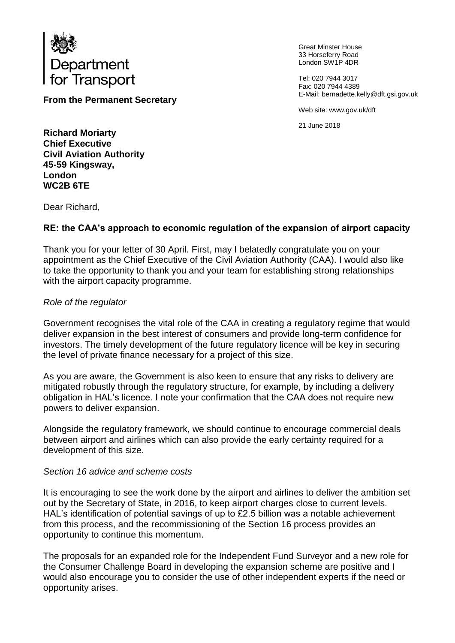

**From the Permanent Secretary**

Great Minster House 33 Horseferry Road London SW1P 4DR

Tel: 020 7944 3017 Fax: 020 7944 4389 E-Mail: bernadette.kelly@dft.gsi.gov.uk

Web site: www.gov.uk/dft

21 June 2018

**Richard Moriarty Chief Executive Civil Aviation Authority 45-59 Kingsway, London WC2B 6TE**

Dear Richard,

# **RE: the CAA's approach to economic regulation of the expansion of airport capacity**

Thank you for your letter of 30 April. First, may I belatedly congratulate you on your appointment as the Chief Executive of the Civil Aviation Authority (CAA). I would also like to take the opportunity to thank you and your team for establishing strong relationships with the airport capacity programme.

## *Role of the regulator*

Government recognises the vital role of the CAA in creating a regulatory regime that would deliver expansion in the best interest of consumers and provide long-term confidence for investors. The timely development of the future regulatory licence will be key in securing the level of private finance necessary for a project of this size.

As you are aware, the Government is also keen to ensure that any risks to delivery are mitigated robustly through the regulatory structure, for example, by including a delivery obligation in HAL's licence. I note your confirmation that the CAA does not require new powers to deliver expansion.

Alongside the regulatory framework, we should continue to encourage commercial deals between airport and airlines which can also provide the early certainty required for a development of this size.

## *Section 16 advice and scheme costs*

It is encouraging to see the work done by the airport and airlines to deliver the ambition set out by the Secretary of State, in 2016, to keep airport charges close to current levels. HAL's identification of potential savings of up to £2.5 billion was a notable achievement from this process, and the recommissioning of the Section 16 process provides an opportunity to continue this momentum.

The proposals for an expanded role for the Independent Fund Surveyor and a new role for the Consumer Challenge Board in developing the expansion scheme are positive and I would also encourage you to consider the use of other independent experts if the need or opportunity arises.